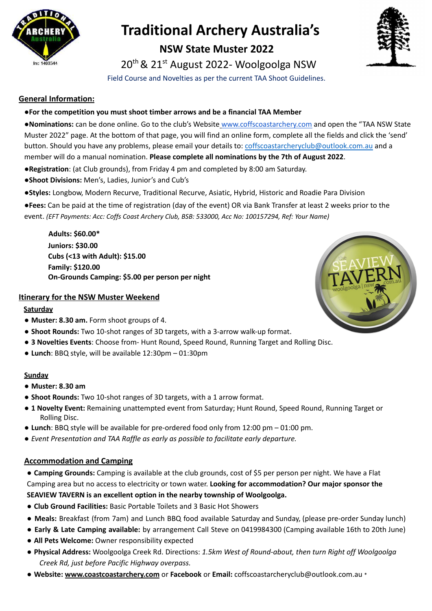

# **Traditional Archery Australia's**

## **NSW State Muster 2022**

20<sup>th</sup> & 21<sup>st</sup> August 2022- Woolgoolga NSW

Field Course and Novelties as per the current TAA Shoot Guidelines.

### **General Information:**

#### **●For the competition you must shoot timber arrows and be a financial TAA Member**

●**Nominations:** can be done online. Go to the club's Website www.coffscoastarchery.com and open the "TAA NSW State Muster 2022" page. At the bottom of that page, you will find an online form, complete all the fields and click the 'send' button. Should you have any problems, please email your details to: coffscoastarcheryclub@outlook.com.au and a member will do a manual nomination. **Please complete all nominations by the 7th of August 2022**.

- ●**Registration**: (at Club grounds), from Friday 4 pm and completed by 8:00 am Saturday.
- ●**Shoot Divisions:** Men's, Ladies, Junior's and Cub's
- ●**Styles:** Longbow, Modern Recurve, Traditional Recurve, Asiatic, Hybrid, Historic and Roadie Para Division

●**Fees:** Can be paid at the time of registration (day of the event) OR via Bank Transfer at least 2 weeks prior to the event. *(EFT Payments: Acc: Coffs Coast Archery Club, BSB: 533000, Acc No: 100157294, Ref: Your Name)*

**Adults: \$60.00\* Juniors: \$30.00 Cubs (<13 with Adult): \$15.00 Family: \$120.00 On-Grounds Camping: \$5.00 per person per night**

#### **Itinerary for the NSW Muster Weekend**

#### **Saturday**

- **Muster: 8.30 am.** Form shoot groups of 4.
- **Shoot Rounds:** Two 10-shot ranges of 3D targets, with a 3-arrow walk-up format.
- **3 Novelties Events**: Choose from- Hunt Round, Speed Round, Running Target and Rolling Disc.
- **Lunch**: BBQ style, will be available 12:30pm 01:30pm

#### **Sunday**

- **Muster: 8.30 am**
- **● Shoot Rounds:** Two 10-shot ranges of 3D targets, with a 1 arrow format.
- **1 Novelty Event:** Remaining unattempted event from Saturday; Hunt Round, Speed Round, Running Target or Rolling Disc.
- **Lunch**: BBQ style will be available for pre-ordered food only from 12:00 pm 01:00 pm.
- *● Event Presentation and TAA Raffle as early as possible to facilitate early departure.*

#### **Accommodation and Camping**

**● Camping Grounds:** Camping is available at the club grounds, cost of \$5 per person per night. We have a Flat Camping area but no access to electricity or town water. **Looking for accommodation? Our major sponsor the SEAVIEW TAVERN is an excellent option in the nearby township of Woolgoolga.**

- **Club Ground Facilities:** Basic Portable Toilets and 3 Basic Hot Showers
- **Meals:** Breakfast (from 7am) and Lunch BBQ food available Saturday and Sunday, (please pre-order Sunday lunch)
- **Early & Late Camping available:** by arrangement Call Steve on 0419984300 (Camping available 16th to 20th June)
- **All Pets Welcome:** Owner responsibility expected
- **Physical Address:** Woolgoolga Creek Rd. Directions: *1.5km West of Round-about, then turn Right off Woolgoolga Creek Rd, just before Pacific Highway overpass.*
- **Website: www.coastcoastarchery.com** or **Facebook** or **Email:** coffscoastarcheryclub@outlook.com.au \*